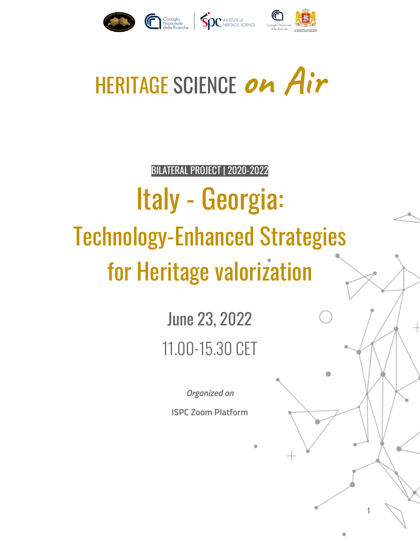

# HERITAGE SCIENCE **on Air**

BILATERAL PROJECT | 2020-2022

# Italy - Georgia: Technology-Enhanced Strategies for Heritage valorization

June 23, 2022 11.00-15.30 CET

*Organized on*

**ISPC Zoom Platform**

1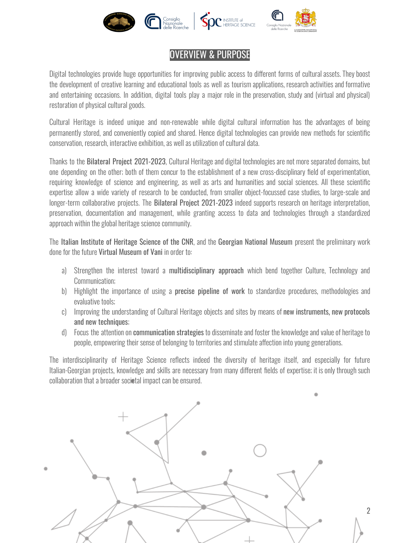

#### OVERVIEW & PURPOSE

Digital technologies provide huge opportunities for improving public access to different forms of cultural assets. They boost the development of creative learning and educational tools as well as tourism applications, research activities and formative and entertaining occasions. In addition, digital tools play a major role in the preservation, study and (virtual and physical) restoration of physical cultural goods.

Cultural Heritage is indeed unique and non-renewable while digital cultural information has the advantages of being permanently stored, and conveniently copied and shared. Hence digital technologies can provide new methods for scientific conservation, research, interactive exhibition, as well as utilization of cultural data.

Thanks to the Bilateral Project 2021-2023, Cultural Heritage and digital technologies are not more separated domains, but one depending on the other; both of them concur to the establishment of a new cross-disciplinary field of experimentation, requiring knowledge of science and engineering, as well as arts and humanities and social sciences. All these scientific expertise allow a wide variety of research to be conducted, from smaller object-focussed case studies, to large-scale and longer-term collaborative projects. The Bilateral Project 2021-2023 indeed supports research on heritage interpretation, preservation, documentation and management, while granting access to data and technologies through a standardized approach within the global heritage science community.

The Italian Institute of Heritage Science of the CNR, and the Georgian National Museum present the preliminary work done for the future Virtual Museum of Vani in order to:

- a) Strengthen the interest toward a multidisciplinary approach which bend together Culture, Technology and Communication;
- b) Highlight the importance of using a **precise pipeline of work** to standardize procedures, methodologies and evaluative tools;
- c) Improving the understanding of Cultural Heritage objects and sites by means of new instruments, new protocols and new techniques;
- d) Focus the attention on communication strategies to disseminate and foster the knowledge and value of heritage to people, empowering their sense of belonging to territories and stimulate affection into young generations.

The interdisciplinarity of Heritage Science reflects indeed the diversity of heritage itself, and especially for future Italian-Georgian projects, knowledge and skills are necessary from many different fields of expertise; it is only through such collaboration that a broader societal impact can be ensured.



2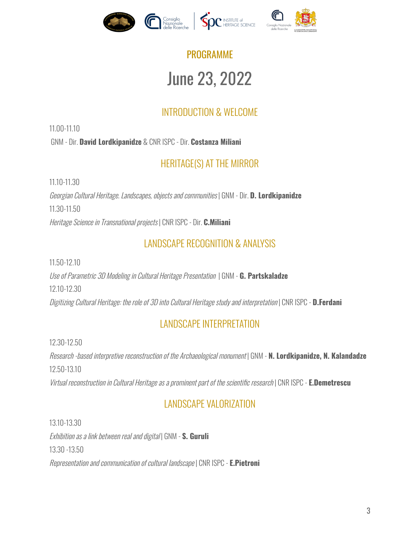

# PROGRAMME June 23, 2022

### INTRODUCTION & WELCOME

11.00-11.10 GNM - Dir. **David Lordkipanidze** & CNR ISPC - Dir. **Costanza Miliani**

#### HERITAGE(S) AT THE MIRROR

11.10-11.30

Georgian Cultural Heritage. Landscapes, objects and communities | GNM - Dir. **D. Lordkipanidze** 11.30-11.50 Heritage Science in Transnational projects | CNR ISPC - Dir. **C.Miliani**

#### LANDSCAPE RECOGNITION & ANALYSIS

11.50-12.10

Useof Parametric 3D Modeling in Cultural Heritage Presentation | GNM - **G. Partskaladze** 12.10-12.30 Digitizing Cultural Heritage: the roleof 3D into Cultural Heritage studyand interpretation | CNR ISPC - **D.Ferdani**

#### LANDSCAPE INTERPRETATION

12.30-12.50

Research -based interpretive reconstruction of the Archaeological monument | GNM - **N. Lordkipanidze, N. Kalandadze** 12.50-13.10

Virtual reconstruction in Cultural Heritage as a prominent part of the scientific research | CNR ISPC - **E.Demetrescu** 

#### LANDSCAPE VALORIZATION

13.10-13.30 Exhibition asa link between realand digital | GNM - **S. Guruli** 13.30 -13.50 Representation and communication of cultural landscape | CNR ISPC - **E.Pietroni**